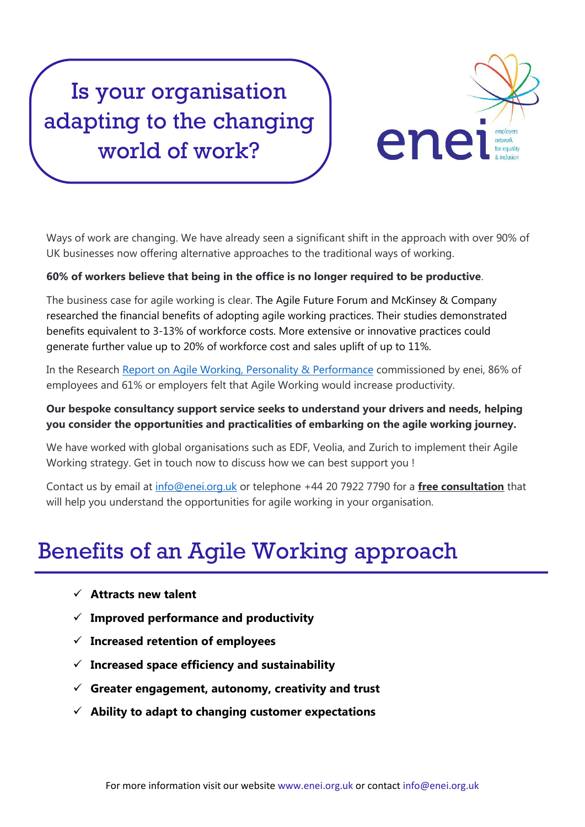# Is your organisation adapting to the changing world of work?



Ways of work are changing. We have already seen a significant shift in the approach with over 90% of UK businesses now offering alternative approaches to the traditional ways of working.

#### **60% of workers believe that being in the office is no longer required to be productive**.

The business case for agile working is clear. The Agile Future Forum and McKinsey & Company researched the financial benefits of adopting agile working practices. Their studies demonstrated benefits equivalent to 3-13% of workforce costs. More extensive or innovative practices could generate further value up to 20% of workforce cost and sales uplift of up to 11%.

In the Research [Report on Agile Working, Personality & Performance](https://www.enei.org.uk/media/1330/enei-report-agile-working-personality-types.pdf) commissioned by enei, 86% of employees and 61% or employers felt that Agile Working would increase productivity.

### **Our bespoke consultancy support service seeks to understand your drivers and needs, helping you consider the opportunities and practicalities of embarking on the agile working journey.**

We have worked with global organisations such as EDF, Veolia, and Zurich to implement their Agile Working strategy. Get in touch now to discuss how we can best support you !

Contact us by email at [info@enei.org.uk](mailto:info@enei.org.uk) or telephone +44 20 7922 7790 for a **free consultation** that will help you understand the opportunities for agile working in your organisation.

## Benefits of an Agile Working approach

- **Attracts new talent**
- **Improved performance and productivity**
- **Increased retention of employees**
- **Increased space efficiency and sustainability**
- **Greater engagement, autonomy, creativity and trust**
- **Ability to adapt to changing customer expectations**